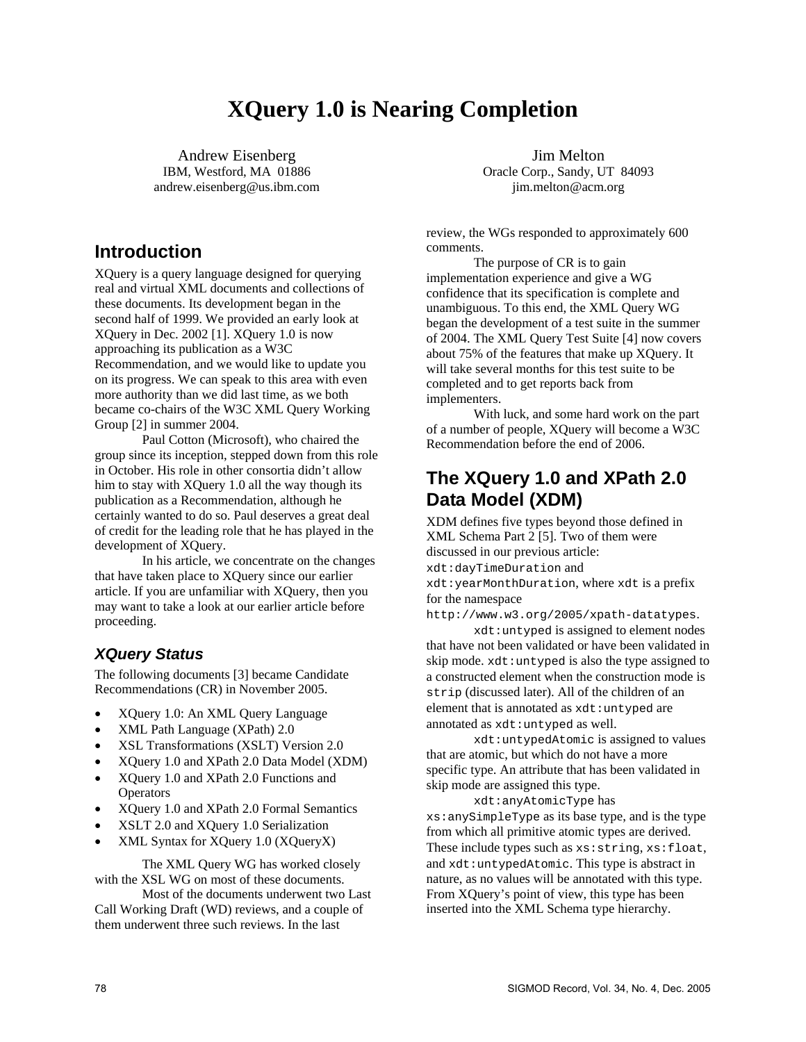# **XQuery 1.0 is Nearing Completion**

Andrew Eisenberg IBM, Westford, MA 01886 andrew.eisenberg@us.ibm.com

### **Introduction**

XQuery is a query language designed for querying real and virtual XML documents and collections of these documents. Its development began in the second half of 1999. We provided an early look at XQuery in Dec. 2002 [\[1\].](#page-6-0) XQuery 1.0 is now approaching its publication as a W3C Recommendation, and we would like to update you on its progress. We can speak to this area with even more authority than we did last time, as we both became co-chairs of the W3C XML Query Working Group [\[2\]](#page-6-1) in summer 2004.

Paul Cotton (Microsoft), who chaired the group since its inception, stepped down from this role in October. His role in other consortia didn't allow him to stay with XQuery 1.0 all the way though its publication as a Recommendation, although he certainly wanted to do so. Paul deserves a great deal of credit for the leading role that he has played in the development of XQuery.

In his article, we concentrate on the changes that have taken place to XQuery since our earlier article. If you are unfamiliar with XQuery, then you may want to take a look at our earlier article before proceeding.

#### *XQuery Status*

The following documents [\[3\]](#page-6-2) became Candidate Recommendations (CR) in November 2005.

- XQuery 1.0: An XML Query Language
- XML Path Language (XPath) 2.0
- XSL Transformations (XSLT) Version 2.0
- XQuery 1.0 and XPath 2.0 Data Model (XDM)
- XQuery 1.0 and XPath 2.0 Functions and **Operators**
- XQuery 1.0 and XPath 2.0 Formal Semantics
- XSLT 2.0 and XQuery 1.0 Serialization
- XML Syntax for XQuery 1.0 (XQueryX)

The XML Query WG has worked closely with the XSL WG on most of these documents.

Most of the documents underwent two Last Call Working Draft (WD) reviews, and a couple of them underwent three such reviews. In the last

Jim Melton Oracle Corp., Sandy, UT 84093 jim.melton@acm.org

review, the WGs responded to approximately 600 comments.

The purpose of CR is to gain implementation experience and give a WG confidence that its specification is complete and unambiguous. To this end, the XML Query WG began the development of a test suite in the summer of 2004. The XML Query Test Suite [\[4\]](#page-6-3) now covers about 75% of the features that make up XQuery. It will take several months for this test suite to be completed and to get reports back from implementers.

With luck, and some hard work on the part of a number of people, XQuery will become a W3C Recommendation before the end of 2006.

## **The XQuery 1.0 and XPath 2.0 Data Model (XDM)**

XDM defines five types beyond those defined in XML Schema Part 2 [\[5\].](#page-6-4) Two of them were discussed in our previous article:

xdt:dayTimeDuration and

xdt:yearMonthDuration, where xdt is a prefix for the namespace

http://www.w3.org/2005/xpath-datatypes.

xdt:untyped is assigned to element nodes that have not been validated or have been validated in skip mode. xdt:untyped is also the type assigned to a constructed element when the construction mode is strip (discussed later). All of the children of an element that is annotated as  $xdt$ : untyped are annotated as xdt:untyped as well.

xdt:untypedAtomic is assigned to values that are atomic, but which do not have a more specific type. An attribute that has been validated in skip mode are assigned this type.

xdt:anyAtomicType has xs:anySimpleType as its base type, and is the type from which all primitive atomic types are derived. These include types such as  $xs:string, xs:float,$ and xdt:untypedAtomic. This type is abstract in nature, as no values will be annotated with this type. From XQuery's point of view, this type has been inserted into the XML Schema type hierarchy.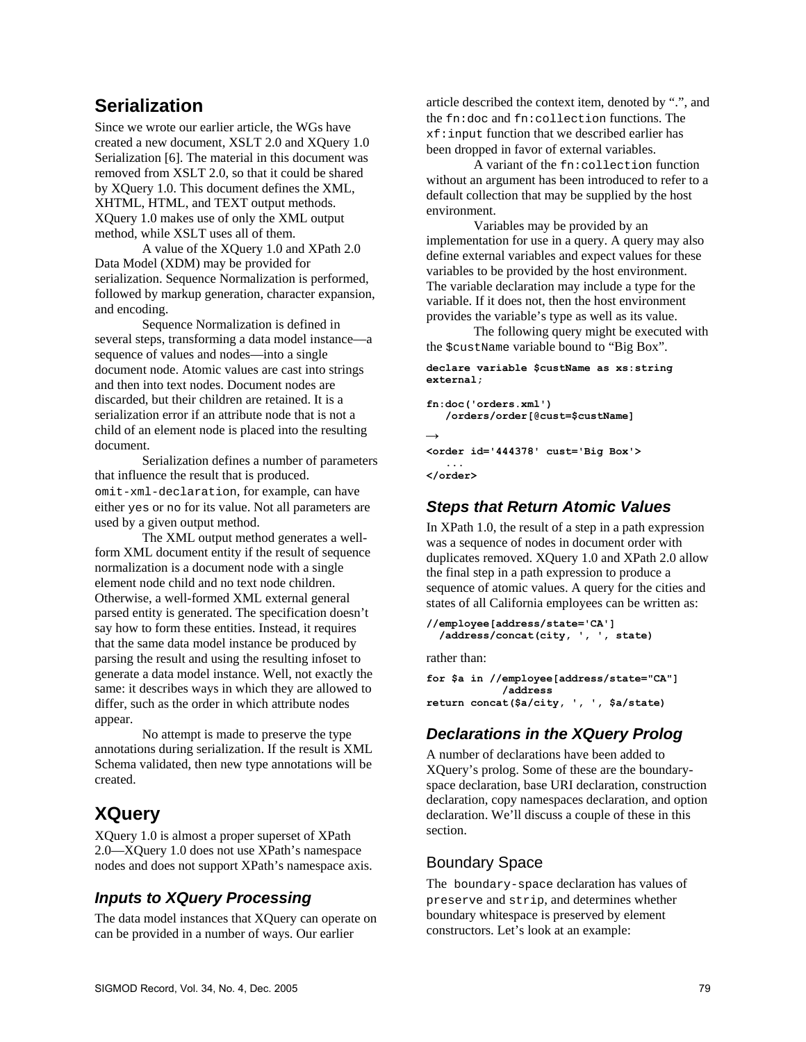### **Serialization**

Since we wrote our earlier article, the WGs have created a new document, XSLT 2.0 and XQuery 1.0 Serialization [\[6\].](#page-6-5) The material in this document was removed from XSLT 2.0, so that it could be shared by XQuery 1.0. This document defines the XML, XHTML, HTML, and TEXT output methods. XQuery 1.0 makes use of only the XML output method, while XSLT uses all of them.

A value of the XQuery 1.0 and XPath 2.0 Data Model (XDM) may be provided for serialization. Sequence Normalization is performed, followed by markup generation, character expansion, and encoding.

Sequence Normalization is defined in several steps, transforming a data model instance—a sequence of values and nodes—into a single document node. Atomic values are cast into strings and then into text nodes. Document nodes are discarded, but their children are retained. It is a serialization error if an attribute node that is not a child of an element node is placed into the resulting document.

Serialization defines a number of parameters that influence the result that is produced. omit-xml-declaration, for example, can have either yes or no for its value. Not all parameters are used by a given output method.

The XML output method generates a wellform XML document entity if the result of sequence normalization is a document node with a single element node child and no text node children. Otherwise, a well-formed XML external general parsed entity is generated. The specification doesn't say how to form these entities. Instead, it requires that the same data model instance be produced by parsing the result and using the resulting infoset to generate a data model instance. Well, not exactly the same: it describes ways in which they are allowed to differ, such as the order in which attribute nodes appear.

No attempt is made to preserve the type annotations during serialization. If the result is XML Schema validated, then new type annotations will be created.

### **XQuery**

XQuery 1.0 is almost a proper superset of XPath 2.0—XQuery 1.0 does not use XPath's namespace nodes and does not support XPath's namespace axis.

### *Inputs to XQuery Processing*

The data model instances that XQuery can operate on can be provided in a number of ways. Our earlier

article described the context item, denoted by ".", and the fn:doc and fn:collection functions. The xf:input function that we described earlier has been dropped in favor of external variables.

A variant of the fn:collection function without an argument has been introduced to refer to a default collection that may be supplied by the host environment.

Variables may be provided by an implementation for use in a query. A query may also define external variables and expect values for these variables to be provided by the host environment. The variable declaration may include a type for the variable. If it does not, then the host environment provides the variable's type as well as its value.

The following query might be executed with the \$custName variable bound to "Big Box".

**declare variable \$custName as xs:string external;** 

**fn:doc('orders.xml') / <sup>→</sup> orders/order[@cust=\$custName] <order id='444378' cust='Big Box'> ... </order>** 

#### *Steps that Return Atomic Values*

In XPath 1.0, the result of a step in a path expression was a sequence of nodes in document order with duplicates removed. XQuery 1.0 and XPath 2.0 allow the final step in a path expression to produce a sequence of atomic values. A query for the cities and states of all California employees can be written as:

```
//employee[address/state='CA'] 
   /address/concat(city, ', ', state)
```
rather than:

```
for $a in //employee[address/state="CA"] 
             /address 
return concat($a/city, ', ', $a/state)
```
### *Declarations in the XQuery Prolog*

A number of declarations have been added to XQuery's prolog. Some of these are the boundaryspace declaration, base URI declaration, construction declaration, copy namespaces declaration, and option declaration. We'll discuss a couple of these in this section.

#### Boundary Space

The boundary-space declaration has values of preserve and strip, and determines whether boundary whitespace is preserved by element constructors. Let's look at an example: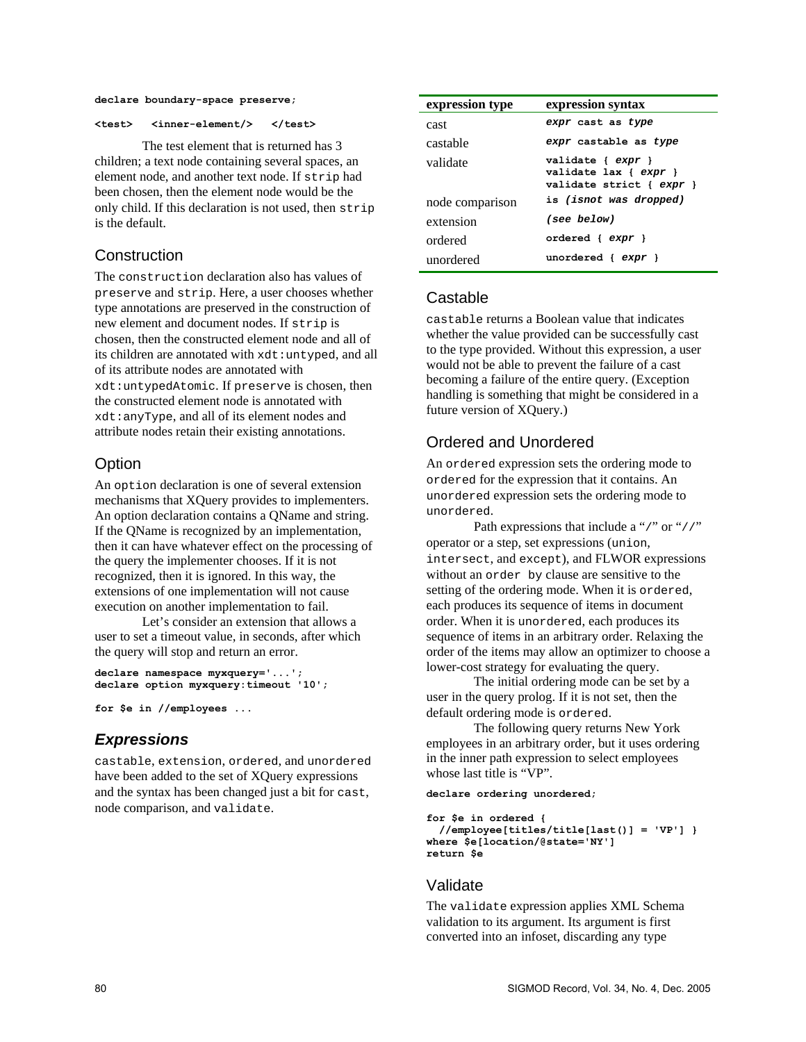#### **declare boundary-space preserve;**

#### **<test> <inner-element/> </test>**

The test element that is returned has 3 children; a text node containing several spaces, an element node, and another text node. If strip had been chosen, then the element node would be the only child. If this declaration is not used, then strip is the default.

#### **Construction**

The construction declaration also has values of preserve and strip. Here, a user chooses whether type annotations are preserved in the construction of new element and document nodes. If strip is chosen, then the constructed element node and all of its children are annotated with  $xdt$ : untyped, and all of its attribute nodes are annotated with xdt:untypedAtomic. If preserve is chosen, then the constructed element node is annotated with xdt:anyType, and all of its element nodes and attribute nodes retain their existing annotations.

#### **Option**

An option declaration is one of several extension mechanisms that XQuery provides to implementers. An option declaration contains a QName and string. If the QName is recognized by an implementation, then it can have whatever effect on the processing of the query the implementer chooses. If it is not recognized, then it is ignored. In this way, the extensions of one implementation will not cause execution on another implementation to fail.

Let's consider an extension that allows a user to set a timeout value, in seconds, after which the query will stop and return an error.

```
declare namespace myxquery='...'; 
declare option myxquery:timeout '10';
```
**for \$e in //employees ...** 

#### *Expressions*

castable, extension, ordered, and unordered have been added to the set of XQuery expressions and the syntax has been changed just a bit for cast, node comparison, and validate.

| expression type | expression syntax                                                      |
|-----------------|------------------------------------------------------------------------|
| cast            | expr cast as type                                                      |
| castable        | expr castable as type                                                  |
| validate        | validate { expr }<br>validate lax { expr }<br>validate strict { expr } |
| node comparison | is ( <i>isnot</i> was dropped)                                         |
| extension       | (see below)                                                            |
| ordered         | ordered { expr }                                                       |
| unordered       | unordered { expr }                                                     |

#### **Castable**

castable returns a Boolean value that indicates whether the value provided can be successfully cast to the type provided. Without this expression, a user would not be able to prevent the failure of a cast becoming a failure of the entire query. (Exception handling is something that might be considered in a future version of XQuery.)

#### Ordered and Unordered

An ordered expression sets the ordering mode to ordered for the expression that it contains. An unordered expression sets the ordering mode to unordered.

Path expressions that include a "/" or "//" operator or a step, set expressions (union, intersect, and except), and FLWOR expressions without an order by clause are sensitive to the setting of the ordering mode. When it is ordered, each produces its sequence of items in document order. When it is unordered, each produces its sequence of items in an arbitrary order. Relaxing the order of the items may allow an optimizer to choose a lower-cost strategy for evaluating the query.

The initial ordering mode can be set by a user in the query prolog. If it is not set, then the default ordering mode is ordered.

The following query returns New York employees in an arbitrary order, but it uses ordering in the inner path expression to select employees whose last title is "VP".

**declare ordering unordered;** 

```
for $e in ordered { 
   //employee[titles/title[last()] = 'VP'] } 
where $e[location/@state='NY'] 
return $e
```
#### Validate

The validate expression applies XML Schema validation to its argument. Its argument is first converted into an infoset, discarding any type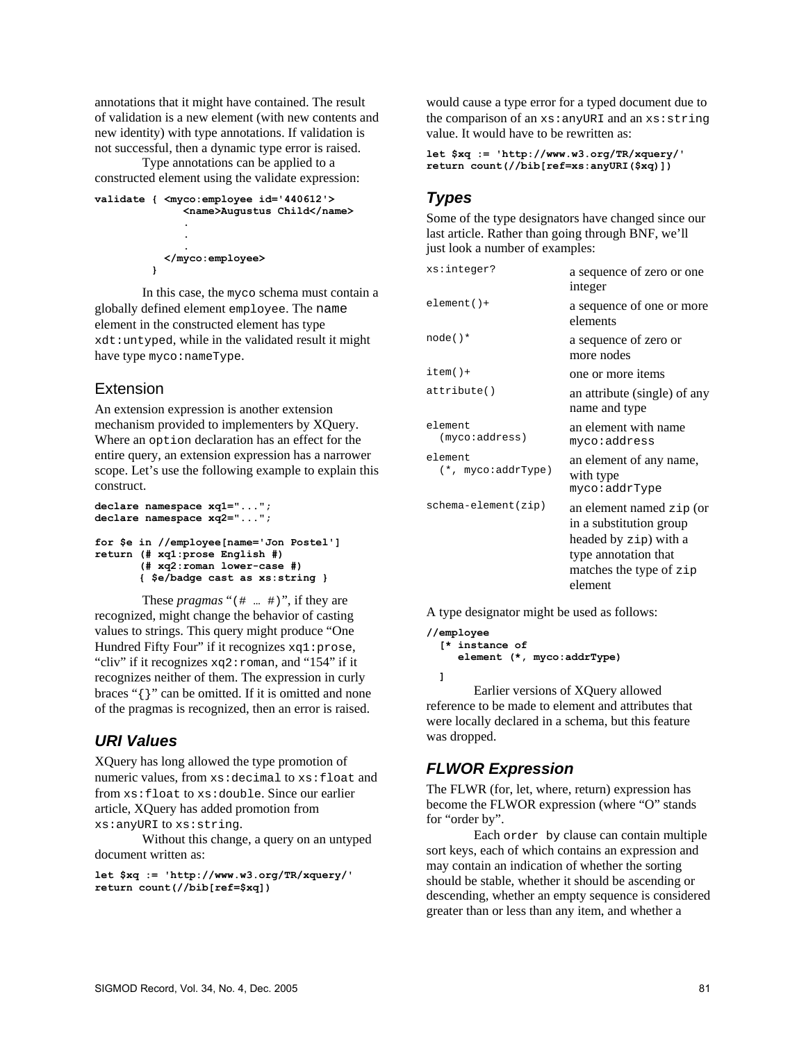annotations that it might have contained. The result of validation is a new element (with new contents and new identity) with type annotations. If validation is not successful, then a dynamic type error is raised.

Type annotations can be applied to a constructed element using the validate expression:

```
validate { <myco:employee id='440612'> 
                    <name>Augustus Child</name> 
100 - 100 - 100 - 100 - 100 - 100
100 - 100 - 100 - 100 - 100 - 100
12.  12.  12.  12.  12.  12.  12.
             </myco:employee> 
 }
```
In this case, the myco schema must contain a globally defined element employee. The name element in the constructed element has type xdt:untyped, while in the validated result it might have type myco:nameType.

#### Extension

An extension expression is another extension mechanism provided to implementers by XQuery. Where an option declaration has an effect for the entire query, an extension expression has a narrower scope. Let's use the following example to explain this construct.

```
declare namespace xq1="..."; 
declare namespace xq2="...";
```

```
for $e in //employee[name='Jon Postel'] 
return (# xq1:prose English #) 
        (# xq2:roman lower-case #) 
        { $e/badge cast as xs:string }
```
These *pragmas* "(# … #)", if they are recognized, might change the behavior of casting values to strings. This query might produce "One Hundred Fifty Four" if it recognizes xq1:prose, "cliv" if it recognizes xq2:roman, and "154" if it recognizes neither of them. The expression in curly braces "{}" can be omitted. If it is omitted and none of the pragmas is recognized, then an error is raised.

### *URI Values*

XQuery has long allowed the type promotion of numeric values, from xs:decimal to xs:float and from xs:float to xs:double. Since our earlier article, XQuery has added promotion from xs:anyURI to xs:string.

Without this change, a query on an untyped document written as:

**let \$xq := 'http://www.w3.org/TR/xquery/' return count(//bib[ref=\$xq])** 

would cause a type error for a typed document due to the comparison of an xs:anyURI and an xs:string value. It would have to be rewritten as:

**let \$xq := 'http://www.w3.org/TR/xquery/' return count(//bib[ref=xs:anyURI(\$xq)])** 

### *Types*

Some of the type designators have changed since our last article. Rather than going through BNF, we'll just look a number of examples:

| xs:integer?                   | a sequence of zero or one<br>integer                                                                                                         |
|-------------------------------|----------------------------------------------------------------------------------------------------------------------------------------------|
| element()+                    | a sequence of one or more<br>elements                                                                                                        |
| node()                        | a sequence of zero or<br>more nodes                                                                                                          |
| $item() +$                    | one or more items                                                                                                                            |
| attribute()                   | an attribute (single) of any<br>name and type                                                                                                |
| element<br>(myco:address)     | an element with name<br>myco:address                                                                                                         |
| element<br>(*, myco:addrType) | an element of any name,<br>with type<br>myco:addrType                                                                                        |
| schema-element(zip)           | an element named $zip$ (or<br>in a substitution group<br>headed by zip) with a<br>type annotation that<br>matches the type of $z$<br>element |

A type designator might be used as follows:

**//employee [\* instance of element (\*, myco:addrType) ]** 

Earlier versions of XQuery allowed reference to be made to element and attributes that were locally declared in a schema, but this feature was dropped.

### *FLWOR Expression*

The FLWR (for, let, where, return) expression has become the FLWOR expression (where "O" stands for "order by".

Each order by clause can contain multiple sort keys, each of which contains an expression and may contain an indication of whether the sorting should be stable, whether it should be ascending or descending, whether an empty sequence is considered greater than or less than any item, and whether a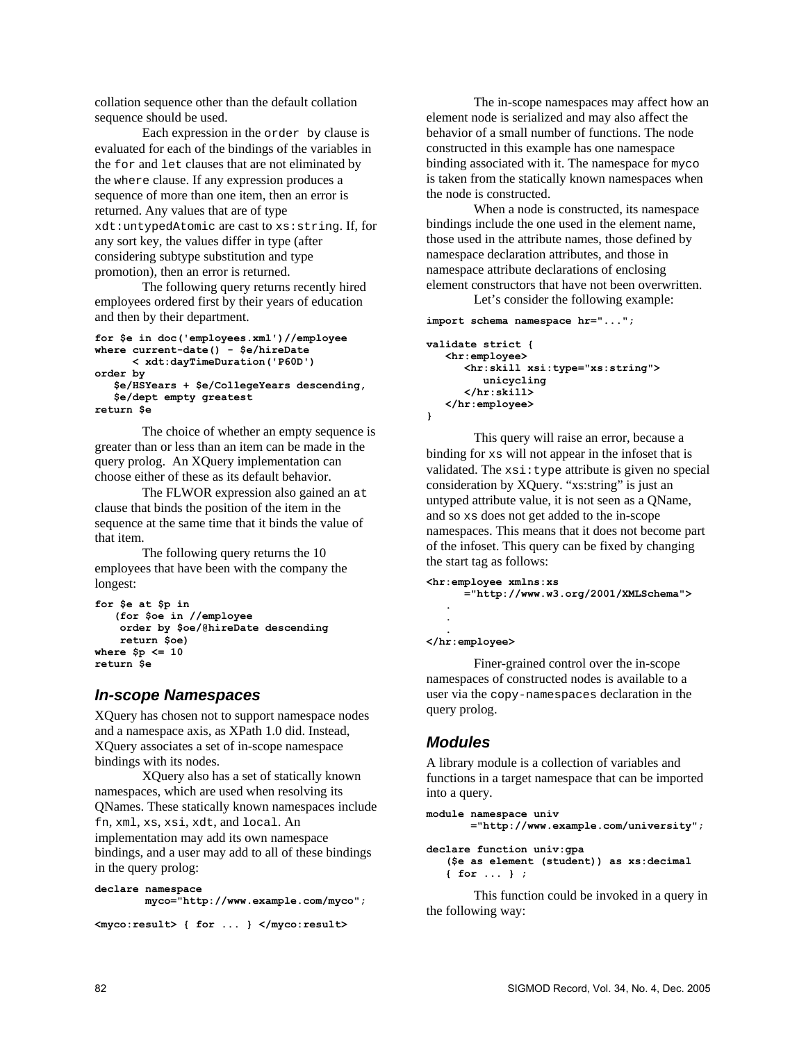collation sequence other than the default collation sequence should be used.

Each expression in the order by clause is evaluated for each of the bindings of the variables in the for and let clauses that are not eliminated by the where clause. If any expression produces a sequence of more than one item, then an error is returned. Any values that are of type xdt:untypedAtomic are cast to xs:string. If, for any sort key, the values differ in type (after considering subtype substitution and type promotion), then an error is returned.

The following query returns recently hired employees ordered first by their years of education and then by their department.

```
for $e in doc('employees.xml')//employee 
where current-date() - $e/hireDate 
       < xdt:dayTimeDuration('P60D') 
order by 
    $e/HSYears + $e/CollegeYears descending, 
    $e/dept empty greatest 
return $e
```
The choice of whether an empty sequence is greater than or less than an item can be made in the query prolog. An XQuery implementation can choose either of these as its default behavior.

The FLWOR expression also gained an at clause that binds the position of the item in the sequence at the same time that it binds the value of that item.

The following query returns the 10 employees that have been with the company the longest:

```
for $e at $p in 
    (for $oe in //employee 
     order by $oe/@hireDate descending 
     return $oe) 
where $p <= 10 
return $e
```
#### *In-scope Namespaces*

XQuery has chosen not to support namespace nodes and a namespace axis, as XPath 1.0 did. Instead, XQuery associates a set of in-scope namespace bindings with its nodes.

XQuery also has a set of statically known namespaces, which are used when resolving its QNames. These statically known namespaces include fn, xml, xs, xsi, xdt, and local. An implementation may add its own namespace bindings, and a user may add to all of these bindings

in the query prolog:

```
declare namespace 
         myco="http://www.example.com/myco"; 
<myco:result> { for ... } </myco:result>
```
The in-scope namespaces may affect how an element node is serialized and may also affect the behavior of a small number of functions. The node constructed in this example has one namespace binding associated with it. The namespace for myco is taken from the statically known namespaces when the node is constructed.

When a node is constructed, its namespace bindings include the one used in the element name, those used in the attribute names, those defined by namespace declaration attributes, and those in namespace attribute declarations of enclosing element constructors that have not been overwritten. Let's consider the following example:

**import schema namespace hr="...";** 

```
validate strict { 
    <hr:employee> 
       <hr:skill xsi:type="xs:string"> 
           unicycling 
       </hr:skill> 
    </hr:employee> 
}
```
This query will raise an error, because a binding for xs will not appear in the infoset that is validated. The  $xsi:type$  attribute is given no special consideration by XQuery. "xs:string" is just an untyped attribute value, it is not seen as a QName, and so xs does not get added to the in-scope namespaces. This means that it does not become part of the infoset. This query can be fixed by changing the start tag as follows:

```
<hr:employee xmlns:xs 
      ="http://www.w3.org/2001/XMLSchema"> 
 . 
 . 
 .
```

```
</hr:employee>
```
Finer-grained control over the in-scope namespaces of constructed nodes is available to a user via the copy-namespaces declaration in the query prolog.

#### *Modules*

A library module is a collection of variables and functions in a target namespace that can be imported into a query.

```
module namespace univ 
        ="http://www.example.com/university"; 
declare function univ:gpa 
    ($e as element (student)) as xs:decimal 
    { for ... } ;
```
This function could be invoked in a query in the following way: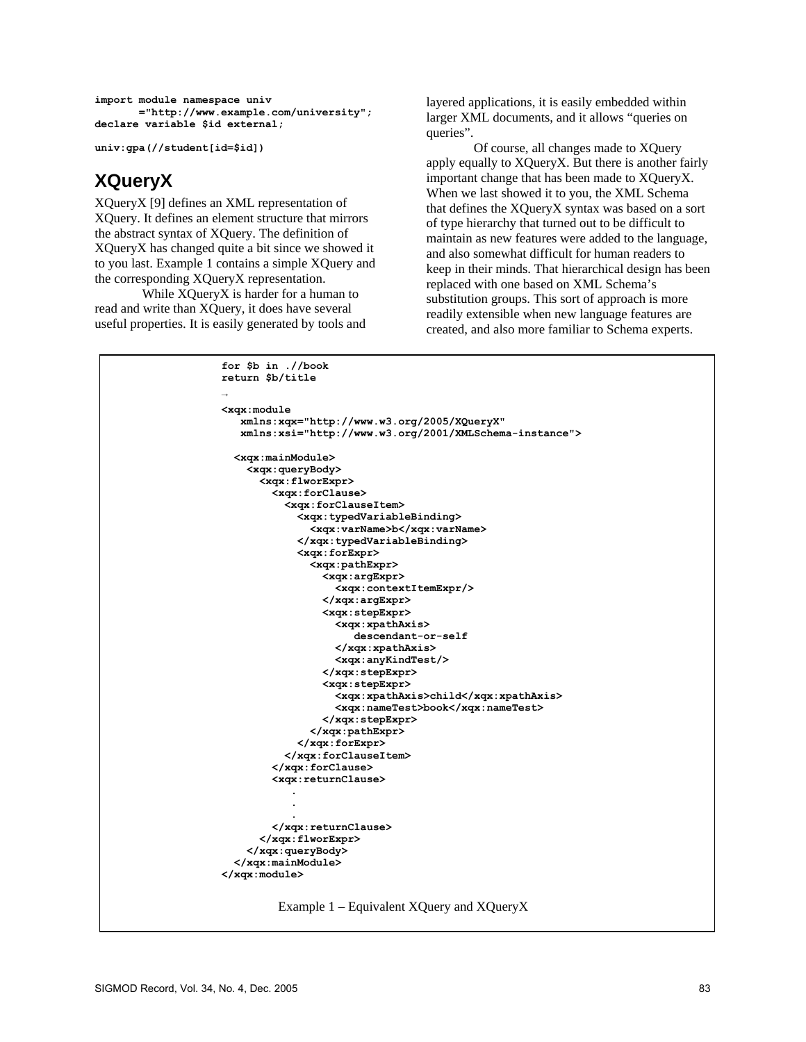```
import module namespace univ 
        ="http://www.example.com/university"; 
declare variable $id external;
```
**univ:gpa(//student[id=\$id])**

### **XQueryX**

XQueryX [\[9\]](#page-6-6) defines an XML representation of XQuery. It defines an element structure that mirrors the abstract syntax of XQuery. The definition of XQueryX has changed quite a bit since we showed it to you last. Example 1 contains a simple XQuery and the corresponding XQueryX representation.

While XQueryX is harder for a human to read and write than XQuery, it does have several useful properties. It is easily generated by tools and layered applications, it is easily embedded within larger XML documents, and it allows "queries on queries".

Of course, all changes made to XQuery apply equally to XQueryX. But there is another fairly important change that has been made to XQueryX. When we last showed it to you, the XML Schema that defines the XQueryX syntax was based on a sort of type hierarchy that turned out to be difficult to maintain as new features were added to the language, and also somewhat difficult for human readers to keep in their minds. That hierarchical design has been replaced with one based on XML Schema's substitution groups. This sort of approach is more readily extensible when new language features are created, and also more familiar to Schema experts.

```
for $b in .//book 
return $b/title 
→
<xqx:module 
    xmlns:xqx="http://www.w3.org/2005/XQueryX" 
    xmlns:xsi="http://www.w3.org/2001/XMLSchema-instance"> 
   <xqx:mainModule> 
     <xqx:queryBody> 
       <xqx:flworExpr> 
          <xqx:forClause> 
            <xqx:forClauseItem> 
              <xqx:typedVariableBinding> 
                <xqx:varName>b</xqx:varName> 
              </xqx:typedVariableBinding> 
              <xqx:forExpr> 
                <xqx:pathExpr> 
                   <xqx:argExpr> 
                     <xqx:contextItemExpr/> 
                   </xqx:argExpr> 
                   <xqx:stepExpr> 
                     <xqx:xpathAxis> 
                        descendant-or-self 
                     </xqx:xpathAxis> 
                     <xqx:anyKindTest/> 
                   </xqx:stepExpr> 
                   <xqx:stepExpr> 
                     <xqx:xpathAxis>child</xqx:xpathAxis> 
                     <xqx:nameTest>book</xqx:nameTest> 
                   </xqx:stepExpr> 
                </xqx:pathExpr> 
              </xqx:forExpr> 
            </xqx:forClauseItem> 
          </xqx:forClause> 
          <xqx:returnClause> 
12.  12. 12. 12. 12.
 . 
12.  12. 12. 12. 12.
          </xqx:returnClause> 
       </xqx:flworExpr> 
     </xqx:queryBody> 
   </xqx:mainModule> 
</xqx:module> 
          Example 1 – Equivalent XQuery and XQueryX
```